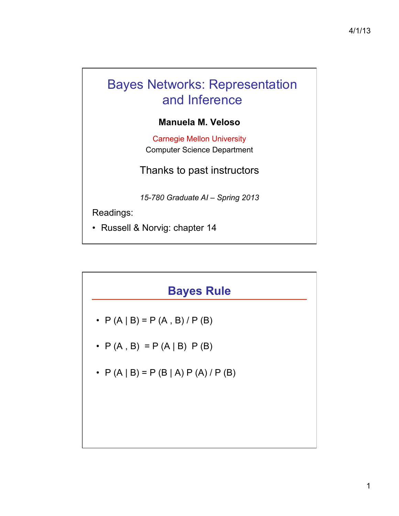# Bayes Networks: Representation and Inference

#### **Manuela M. Veloso**

Carnegie Mellon University Computer Science Department

Thanks to past instructors

*15-780 Graduate AI – Spring 2013* 

Readings:

• Russell & Norvig: chapter 14

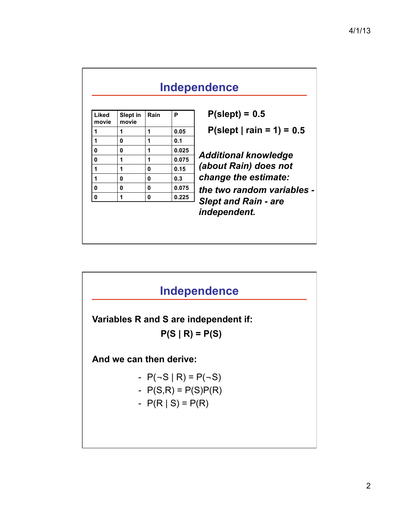| Liked<br>movie | Slept in<br>movie | Rain | P     | $P$ (slept) = 0.5                                                                                                                         |
|----------------|-------------------|------|-------|-------------------------------------------------------------------------------------------------------------------------------------------|
| 1              | 1                 | 1    | 0.05  | $P$ (slept   rain = 1) = 0.5                                                                                                              |
| 1              | 0                 | 1    | 0.1   |                                                                                                                                           |
| 0              | 0                 | 1    | 0.025 | <b>Additional knowledge</b><br>(about Rain) does not<br>change the estimate:<br>the two random variables -<br><b>Slept and Rain - are</b> |
| 0              | 1                 | 1    | 0.075 |                                                                                                                                           |
| 1              | 1                 | 0    | 0.15  |                                                                                                                                           |
| 1              | 0                 | 0    | 0.3   |                                                                                                                                           |
| 0              | 0                 | 0    | 0.075 |                                                                                                                                           |
| 0              | 1                 | 0    | 0.225 |                                                                                                                                           |
|                |                   |      |       | independent.                                                                                                                              |

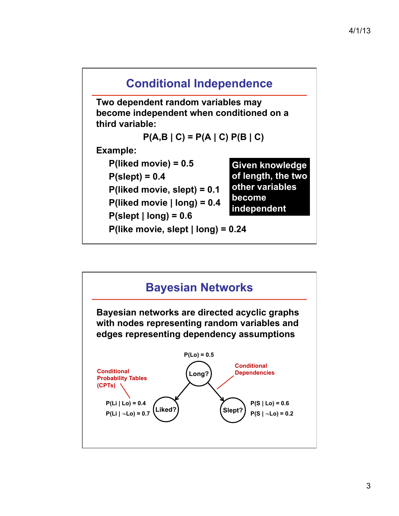

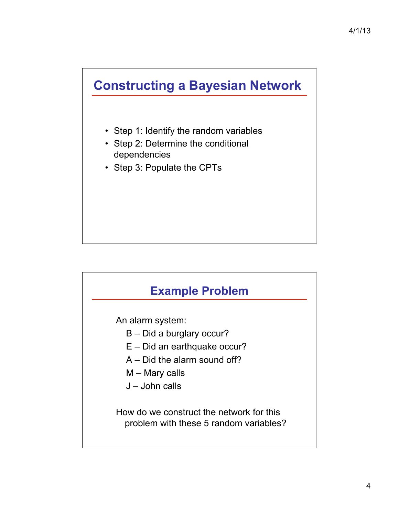## **Constructing a Bayesian Network**

- Step 1: Identify the random variables
- Step 2: Determine the conditional dependencies
- Step 3: Populate the CPTs



An alarm system:

- B Did a burglary occur?
- E Did an earthquake occur?
- A Did the alarm sound off?
- M Mary calls
- J John calls

How do we construct the network for this problem with these 5 random variables?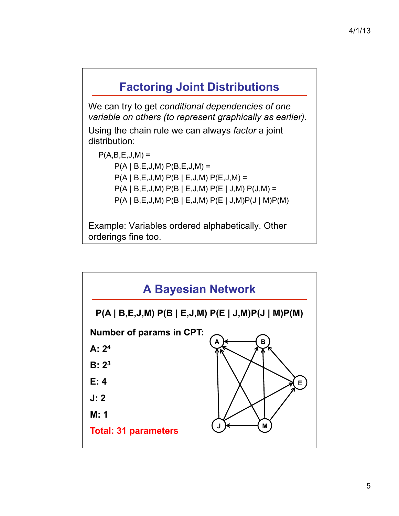### **Factoring Joint Distributions**

We can try to get *conditional dependencies of one variable on others (to represent graphically as earlier).* 

Using the chain rule we can always *factor* a joint distribution:

 $P(A,B,E,J,M) =$  $P(A | B, E, J, M) P(B, E, J, M) =$  $P(A | B, E, J, M) P(B | E, J, M) P(E, J, M) =$  P(A | B,E,J,M) P(B | E,J,M) P(E | J,M) P(J,M) = P(A | B,E,J,M) P(B | E,J,M) P(E | J,M)P(J | M)P(M)

Example: Variables ordered alphabetically. Other orderings fine too.

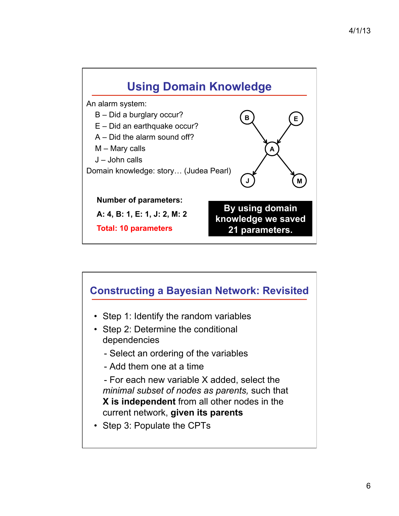

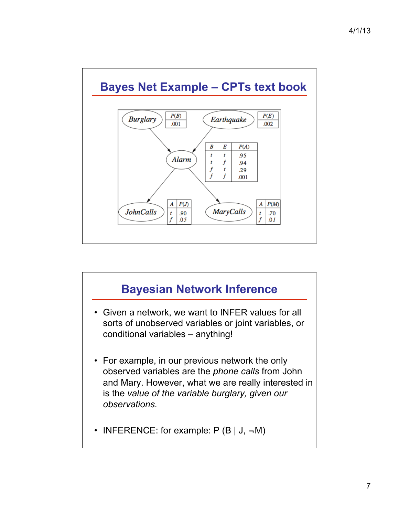

# **Bayesian Network Inference**  • Given a network, we want to INFER values for all sorts of unobserved variables or joint variables, or conditional variables – anything! • For example, in our previous network the only observed variables are the *phone calls* from John and Mary. However, what we are really interested in is the *value of the variable burglary, given our observations.*  • INFERENCE: for example:  $P(B | J, \neg M)$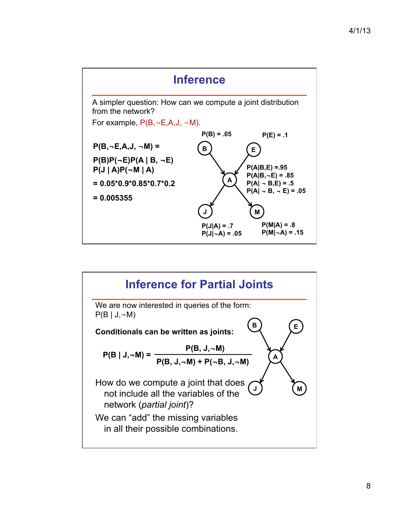

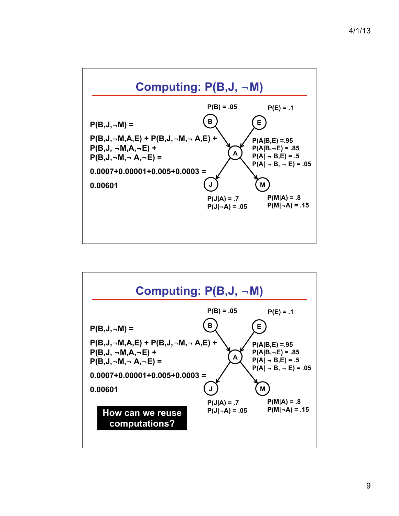

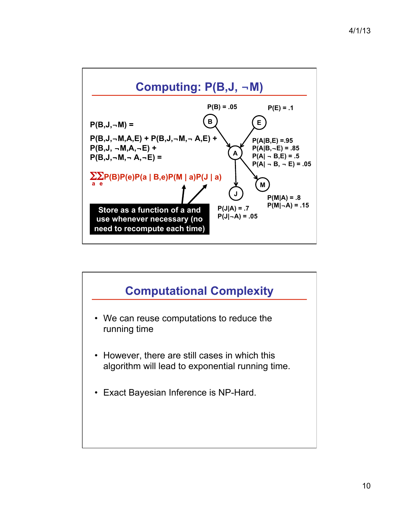

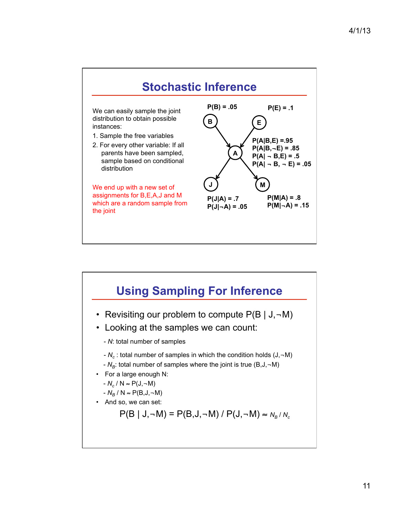

# **Using Sampling For Inference**  • Revisiting our problem to compute  $P(B | J, \neg M)$ • Looking at the samples we can count: - *N*: total number of samples - *Nc* : total number of samples in which the condition holds (J,¬M)  $-N_B$ : total number of samples where the joint is true (B,J, $\neg$ M) • For a large enough N:  $-N_c / N \approx P(J, \neg M)$  $-N_B/N$  ≈  $P(B,J,\neg M)$ • And so, we can set:  $P(B | J, \neg M) = P(B, J, \neg M) / P(J, \neg M) \approx N_B / N_c$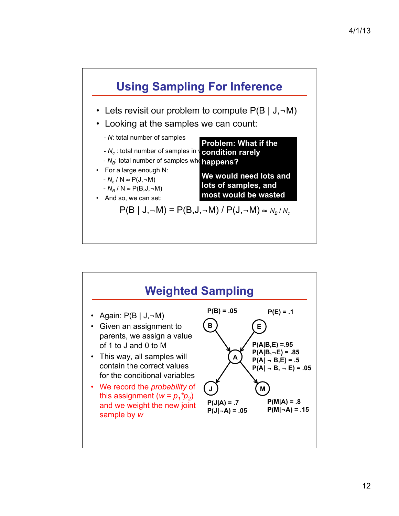